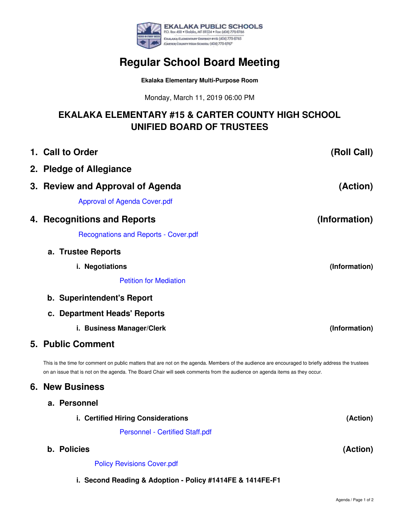

## **Regular School Board Meeting**

**Ekalaka Elementary Multi-Purpose Room**

Monday, March 11, 2019 06:00 PM

## **EKALAKA ELEMENTARY #15 & CARTER COUNTY HIGH SCHOOL UNIFIED BOARD OF TRUSTEES**

| 1. Call to Order                                                                                                                                                                                                                                                                | (Roll Call)   |  |
|---------------------------------------------------------------------------------------------------------------------------------------------------------------------------------------------------------------------------------------------------------------------------------|---------------|--|
| 2. Pledge of Allegiance                                                                                                                                                                                                                                                         |               |  |
| 3. Review and Approval of Agenda                                                                                                                                                                                                                                                | (Action)      |  |
| <b>Approval of Agenda Cover.pdf</b>                                                                                                                                                                                                                                             |               |  |
| 4. Recognitions and Reports                                                                                                                                                                                                                                                     | (Information) |  |
| <b>Recognations and Reports - Cover.pdf</b>                                                                                                                                                                                                                                     |               |  |
| a. Trustee Reports                                                                                                                                                                                                                                                              |               |  |
| i. Negotiations                                                                                                                                                                                                                                                                 | (Information) |  |
| <b>Petition for Mediation</b>                                                                                                                                                                                                                                                   |               |  |
| b. Superintendent's Report                                                                                                                                                                                                                                                      |               |  |
| c. Department Heads' Reports                                                                                                                                                                                                                                                    |               |  |
| i. Business Manager/Clerk                                                                                                                                                                                                                                                       | (Information) |  |
| <b>5. Public Comment</b>                                                                                                                                                                                                                                                        |               |  |
| This is the time for comment on public matters that are not on the agenda. Members of the audience are encouraged to briefly address the trustees<br>on an issue that is not on the agenda. The Board Chair will seek comments from the audience on agenda items as they occur. |               |  |
| <b>6. New Business</b>                                                                                                                                                                                                                                                          |               |  |
| a. Personnel                                                                                                                                                                                                                                                                    |               |  |
| i. Certified Hiring Considerations                                                                                                                                                                                                                                              | (Action)      |  |
| <b>Personnel - Certified Staff.pdf</b>                                                                                                                                                                                                                                          |               |  |
| b. Policies                                                                                                                                                                                                                                                                     | (Action)      |  |

Policy [Revisions](https://app.eduportal.com/documents/view/705264) Cover.pdf

**i. Second Reading & Adoption - Policy #1414FE & 1414FE-F1**